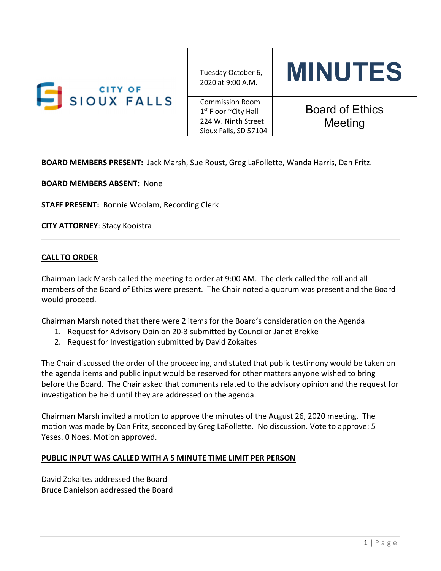| <b>CITY OF</b><br>SIOUX FALLS | Tuesday October 6,<br>2020 at 9:00 A.M.                                                                    | <b>MINUTES</b>                    |
|-------------------------------|------------------------------------------------------------------------------------------------------------|-----------------------------------|
|                               | <b>Commission Room</b><br>1 <sup>st</sup> Floor ~City Hall<br>224 W. Ninth Street<br>Sioux Falls, SD 57104 | <b>Board of Ethics</b><br>Meeting |

**BOARD MEMBERS PRESENT:** Jack Marsh, Sue Roust, Greg LaFollette, Wanda Harris, Dan Fritz.

**BOARD MEMBERS ABSENT:** None

**STAFF PRESENT:** Bonnie Woolam, Recording Clerk

**CITY ATTORNEY**: Stacy Kooistra

### **CALL TO ORDER**

Chairman Jack Marsh called the meeting to order at 9:00 AM. The clerk called the roll and all members of the Board of Ethics were present. The Chair noted a quorum was present and the Board would proceed.

Chairman Marsh noted that there were 2 items for the Board's consideration on the Agenda

- 1. Request for Advisory Opinion 20‐3 submitted by Councilor Janet Brekke
- 2. Request for Investigation submitted by David Zokaites

The Chair discussed the order of the proceeding, and stated that public testimony would be taken on the agenda items and public input would be reserved for other matters anyone wished to bring before the Board. The Chair asked that comments related to the advisory opinion and the request for investigation be held until they are addressed on the agenda.

Chairman Marsh invited a motion to approve the minutes of the August 26, 2020 meeting. The motion was made by Dan Fritz, seconded by Greg LaFollette. No discussion. Vote to approve: 5 Yeses. 0 Noes. Motion approved.

#### **PUBLIC INPUT WAS CALLED WITH A 5 MINUTE TIME LIMIT PER PERSON**

David Zokaites addressed the Board Bruce Danielson addressed the Board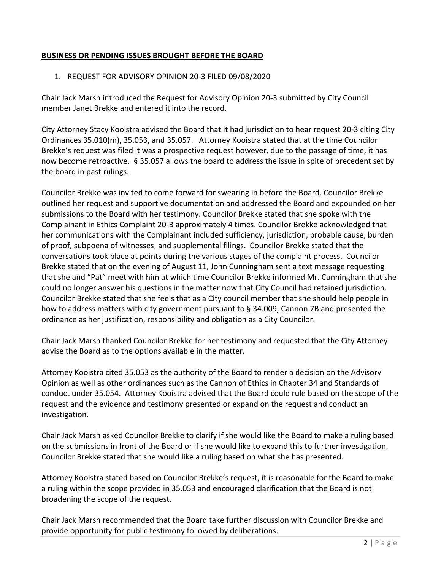# **BUSINESS OR PENDING ISSUES BROUGHT BEFORE THE BOARD**

# 1. REQUEST FOR ADVISORY OPINION 20‐3 FILED 09/08/2020

Chair Jack Marsh introduced the Request for Advisory Opinion 20‐3 submitted by City Council member Janet Brekke and entered it into the record.

City Attorney Stacy Kooistra advised the Board that it had jurisdiction to hear request 20‐3 citing City Ordinances 35.010(m), 35.053, and 35.057. Attorney Kooistra stated that at the time Councilor Brekke's request was filed it was a prospective request however, due to the passage of time, it has now become retroactive. § 35.057 allows the board to address the issue in spite of precedent set by the board in past rulings.

Councilor Brekke was invited to come forward for swearing in before the Board. Councilor Brekke outlined her request and supportive documentation and addressed the Board and expounded on her submissions to the Board with her testimony. Councilor Brekke stated that she spoke with the Complainant in Ethics Complaint 20‐B approximately 4 times. Councilor Brekke acknowledged that her communications with the Complainant included sufficiency, jurisdiction, probable cause, burden of proof, subpoena of witnesses, and supplemental filings. Councilor Brekke stated that the conversations took place at points during the various stages of the complaint process. Councilor Brekke stated that on the evening of August 11, John Cunningham sent a text message requesting that she and "Pat" meet with him at which time Councilor Brekke informed Mr. Cunningham that she could no longer answer his questions in the matter now that City Council had retained jurisdiction. Councilor Brekke stated that she feels that as a City council member that she should help people in how to address matters with city government pursuant to § 34.009, Cannon 7B and presented the ordinance as her justification, responsibility and obligation as a City Councilor.

Chair Jack Marsh thanked Councilor Brekke for her testimony and requested that the City Attorney advise the Board as to the options available in the matter.

Attorney Kooistra cited 35.053 as the authority of the Board to render a decision on the Advisory Opinion as well as other ordinances such as the Cannon of Ethics in Chapter 34 and Standards of conduct under 35.054. Attorney Kooistra advised that the Board could rule based on the scope of the request and the evidence and testimony presented or expand on the request and conduct an investigation.

Chair Jack Marsh asked Councilor Brekke to clarify if she would like the Board to make a ruling based on the submissions in front of the Board or if she would like to expand this to further investigation. Councilor Brekke stated that she would like a ruling based on what she has presented.

Attorney Kooistra stated based on Councilor Brekke's request, it is reasonable for the Board to make a ruling within the scope provided in 35.053 and encouraged clarification that the Board is not broadening the scope of the request.

Chair Jack Marsh recommended that the Board take further discussion with Councilor Brekke and provide opportunity for public testimony followed by deliberations.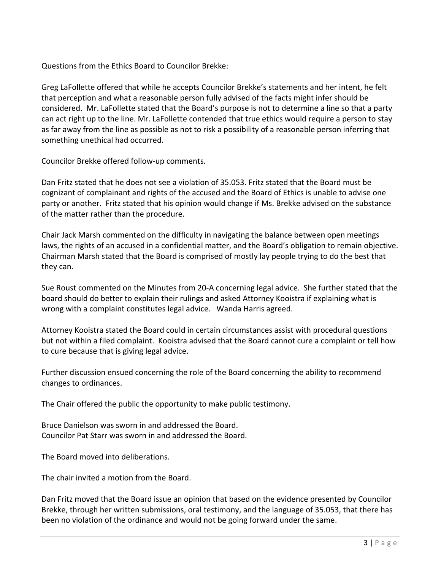Questions from the Ethics Board to Councilor Brekke:

Greg LaFollette offered that while he accepts Councilor Brekke's statements and her intent, he felt that perception and what a reasonable person fully advised of the facts might infer should be considered. Mr. LaFollette stated that the Board's purpose is not to determine a line so that a party can act right up to the line. Mr. LaFollette contended that true ethics would require a person to stay as far away from the line as possible as not to risk a possibility of a reasonable person inferring that something unethical had occurred.

Councilor Brekke offered follow‐up comments.

Dan Fritz stated that he does not see a violation of 35.053. Fritz stated that the Board must be cognizant of complainant and rights of the accused and the Board of Ethics is unable to advise one party or another. Fritz stated that his opinion would change if Ms. Brekke advised on the substance of the matter rather than the procedure.

Chair Jack Marsh commented on the difficulty in navigating the balance between open meetings laws, the rights of an accused in a confidential matter, and the Board's obligation to remain objective. Chairman Marsh stated that the Board is comprised of mostly lay people trying to do the best that they can.

Sue Roust commented on the Minutes from 20‐A concerning legal advice. She further stated that the board should do better to explain their rulings and asked Attorney Kooistra if explaining what is wrong with a complaint constitutes legal advice. Wanda Harris agreed.

Attorney Kooistra stated the Board could in certain circumstances assist with procedural questions but not within a filed complaint. Kooistra advised that the Board cannot cure a complaint or tell how to cure because that is giving legal advice.

Further discussion ensued concerning the role of the Board concerning the ability to recommend changes to ordinances.

The Chair offered the public the opportunity to make public testimony.

Bruce Danielson was sworn in and addressed the Board. Councilor Pat Starr was sworn in and addressed the Board.

The Board moved into deliberations.

The chair invited a motion from the Board.

Dan Fritz moved that the Board issue an opinion that based on the evidence presented by Councilor Brekke, through her written submissions, oral testimony, and the language of 35.053, that there has been no violation of the ordinance and would not be going forward under the same.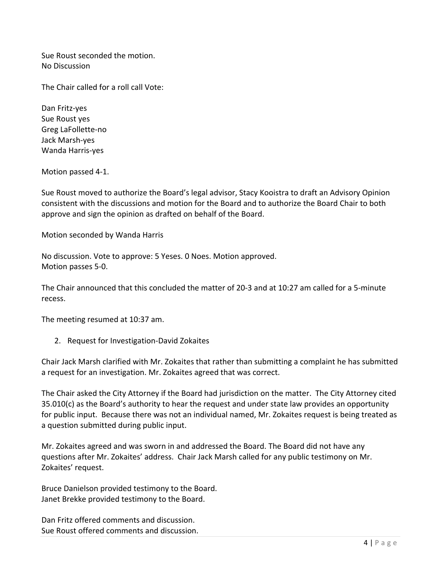Sue Roust seconded the motion. No Discussion

The Chair called for a roll call Vote:

Dan Fritz‐yes Sue Roust yes Greg LaFollette‐no Jack Marsh‐yes Wanda Harris‐yes

Motion passed 4‐1.

Sue Roust moved to authorize the Board's legal advisor, Stacy Kooistra to draft an Advisory Opinion consistent with the discussions and motion for the Board and to authorize the Board Chair to both approve and sign the opinion as drafted on behalf of the Board.

Motion seconded by Wanda Harris

No discussion. Vote to approve: 5 Yeses. 0 Noes. Motion approved. Motion passes 5‐0.

The Chair announced that this concluded the matter of 20‐3 and at 10:27 am called for a 5‐minute recess.

The meeting resumed at 10:37 am.

2. Request for Investigation‐David Zokaites

Chair Jack Marsh clarified with Mr. Zokaites that rather than submitting a complaint he has submitted a request for an investigation. Mr. Zokaites agreed that was correct.

The Chair asked the City Attorney if the Board had jurisdiction on the matter. The City Attorney cited 35.010(c) as the Board's authority to hear the request and under state law provides an opportunity for public input. Because there was not an individual named, Mr. Zokaites request is being treated as a question submitted during public input.

Mr. Zokaites agreed and was sworn in and addressed the Board. The Board did not have any questions after Mr. Zokaites' address. Chair Jack Marsh called for any public testimony on Mr. Zokaites' request.

Bruce Danielson provided testimony to the Board. Janet Brekke provided testimony to the Board.

Dan Fritz offered comments and discussion. Sue Roust offered comments and discussion.